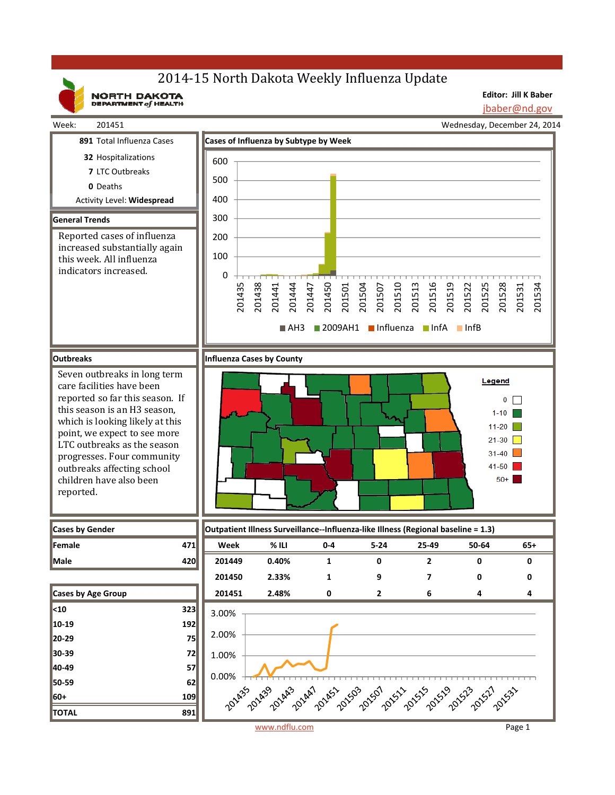## 2014-15 North Dakota Weekly Influenza Update

NORTH DAKOTA

**Editor: Jill K Baber**

jbaber@nd.gov



www.ndflu.com Page 1